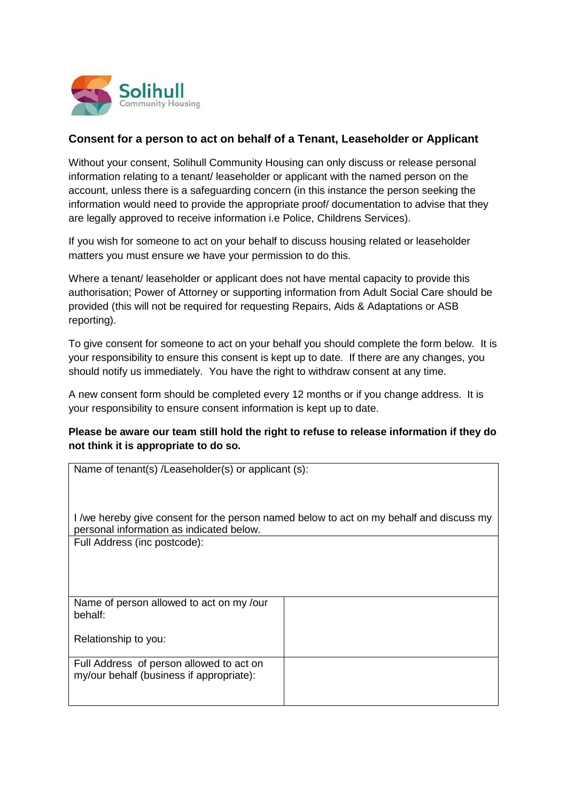

## **Consent for a person to act on behalf of a Tenant, Leaseholder or Applicant**

Without your consent, Solihull Community Housing can only discuss or release personal information relating to a tenant/ leaseholder or applicant with the named person on the account, unless there is a safeguarding concern (in this instance the person seeking the information would need to provide the appropriate proof/ documentation to advise that they are legally approved to receive information i.e Police, Childrens Services).

If you wish for someone to act on your behalf to discuss housing related or leaseholder matters you must ensure we have your permission to do this.

Where a tenant/ leaseholder or applicant does not have mental capacity to provide this authorisation; Power of Attorney or supporting information from Adult Social Care should be provided (this will not be required for requesting Repairs, Aids & Adaptations or ASB reporting).

To give consent for someone to act on your behalf you should complete the form below. It is your responsibility to ensure this consent is kept up to date. If there are any changes, you should notify us immediately. You have the right to withdraw consent at any time.

A new consent form should be completed every 12 months or if you change address. It is your responsibility to ensure consent information is kept up to date.

## **Please be aware our team still hold the right to refuse to release information if they do not think it is appropriate to do so.**

| Name of tenant(s) /Leaseholder(s) or applicant (s):                                     |  |
|-----------------------------------------------------------------------------------------|--|
|                                                                                         |  |
|                                                                                         |  |
|                                                                                         |  |
|                                                                                         |  |
| I /we hereby give consent for the person named below to act on my behalf and discuss my |  |
|                                                                                         |  |
| personal information as indicated below.                                                |  |
| Full Address (inc postcode):                                                            |  |
|                                                                                         |  |
|                                                                                         |  |
|                                                                                         |  |
|                                                                                         |  |
|                                                                                         |  |
|                                                                                         |  |
| Name of person allowed to act on my /our                                                |  |
| behalf:                                                                                 |  |
|                                                                                         |  |
|                                                                                         |  |
| Relationship to you:                                                                    |  |
|                                                                                         |  |
|                                                                                         |  |
| Full Address of person allowed to act on                                                |  |
|                                                                                         |  |
| my/our behalf (business if appropriate):                                                |  |
|                                                                                         |  |
|                                                                                         |  |
|                                                                                         |  |